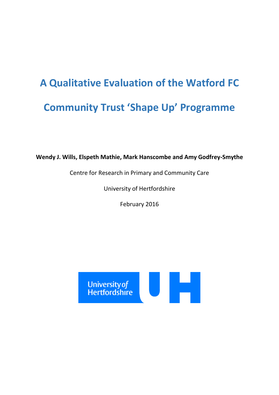# **A Qualitative Evaluation of the Watford FC Community Trust 'Shape Up' Programme**

**Wendy J. Wills, Elspeth Mathie, Mark Hanscombe and Amy Godfrey-Smythe**

Centre for Research in Primary and Community Care

University of Hertfordshire

February 2016

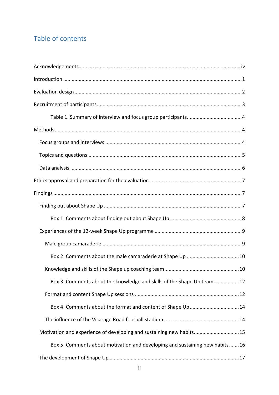# Table of contents

| Box 3. Comments about the knowledge and skills of the Shape Up team12       |
|-----------------------------------------------------------------------------|
|                                                                             |
| Box 4. Comments about the format and content of Shape Up14                  |
|                                                                             |
| Motivation and experience of developing and sustaining new habits15         |
| Box 5. Comments about motivation and developing and sustaining new habits16 |
|                                                                             |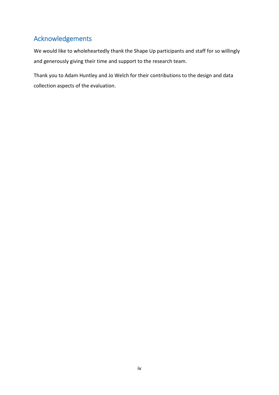# <span id="page-3-0"></span>Acknowledgements

We would like to wholeheartedly thank the Shape Up participants and staff for so willingly and generously giving their time and support to the research team.

Thank you to Adam Huntley and Jo Welch for their contributions to the design and data collection aspects of the evaluation.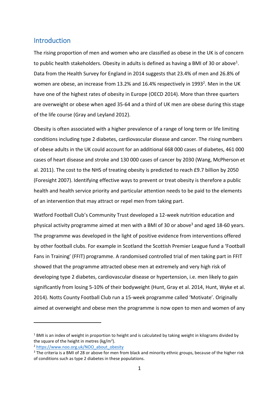## <span id="page-4-0"></span>Introduction

The rising proportion of men and women who are classified as obese in the UK is of concern to public health stakeholders. Obesity in adults is defined as having a BMI of 30 or above<sup>1</sup>. Data from the Health Survey for England in 2014 suggests that 23.4% of men and 26.8% of women are obese, an increase from 13.2% and 16.4% respectively in 1993<sup>2</sup>. Men in the UK have one of the highest rates of obesity in Europe [\(OECD 2014\)](#page-24-0). More than three quarters are overweight or obese when aged 35-64 and a third of UK men are obese during this stage of the life course [\(Gray and Leyland 2012\)](#page-24-1).

Obesity is often associated with a higher prevalence of a range of long term or life limiting conditions including type 2 diabetes, cardiovascular disease and cancer. The rising numbers of obese adults in the UK could account for an additional 668 000 cases of diabetes, 461 000 cases of heart disease and stroke and 130 000 cases of cancer by 2030 [\(Wang, McPherson et](#page-25-0)  [al. 2011\)](#page-25-0). The cost to the NHS of treating obesity is predicted to reach £9.7 billion by 2050 [\(Foresight 2007\)](#page-24-2). Identifying effective ways to prevent or treat obesity is therefore a public health and health service priority and particular attention needs to be paid to the elements of an intervention that may attract or repel men from taking part.

Watford Football Club's Community Trust developed a 12-week nutrition education and physical activity programme aimed at men with a BMI of 30 or above<sup>3</sup> and aged 18-60 years. The programme was developed in the light of positive evidence from interventions offered by other football clubs. For example in Scotland the Scottish Premier League fund a 'Football Fans in Training' (FFIT) programme. A randomised controlled trial of men taking part in FFIT showed that the programme attracted obese men at extremely and very high risk of developing type 2 diabetes, cardiovascular disease or hypertension, i.e. men likely to gain significantly from losing 5-10% of their bodyweight [\(Hunt, Gray et al. 2014,](#page-24-3) [Hunt, Wyke et al.](#page-24-4)  [2014\)](#page-24-4). Notts County Football Club run a 15-week programme called 'Motivate'. Originally aimed at overweight and obese men the programme is now open to men and women of any

-

 $1$  BMI is an index of weight in proportion to height and is calculated by taking weight in kilograms divided by the square of the height in metres (kg/m<sup>2</sup>).

<sup>2</sup> [https://www.noo.org.uk/NOO\\_about\\_obesity](https://www.noo.org.uk/NOO_about_obesity)

<sup>&</sup>lt;sup>3</sup> The criteria is a BMI of 28 or above for men from black and minority ethnic groups, because of the higher risk of conditions such as type 2 diabetes in these populations.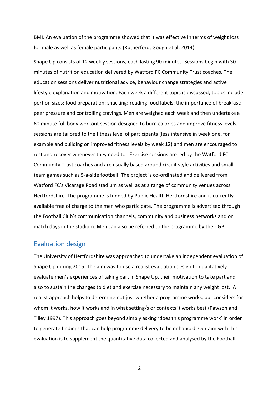BMI. An evaluation of the programme showed that it was effective in terms of weight loss for male as well as female participants [\(Rutherford, Gough et al. 2014\)](#page-25-1).

Shape Up consists of 12 weekly sessions, each lasting 90 minutes. Sessions begin with 30 minutes of nutrition education delivered by Watford FC Community Trust coaches. The education sessions deliver nutritional advice, behaviour change strategies and active lifestyle explanation and motivation. Each week a different topic is discussed; topics include portion sizes; food preparation; snacking; reading food labels; the importance of breakfast; peer pressure and controlling cravings. Men are weighed each week and then undertake a 60 minute full body workout session designed to burn calories and improve fitness levels; sessions are tailored to the fitness level of participants (less intensive in week one, for example and building on improved fitness levels by week 12) and men are encouraged to rest and recover whenever they need to. Exercise sessions are led by the Watford FC Community Trust coaches and are usually based around circuit style activities and small team games such as 5-a-side football. The project is co-ordinated and delivered from Watford FC's Vicarage Road stadium as well as at a range of community venues across Hertfordshire. The programme is funded by Public Health Hertfordshire and is currently available free of charge to the men who participate. The programme is advertised through the Football Club's communication channels, community and business networks and on match days in the stadium. Men can also be referred to the programme by their GP.

# <span id="page-5-0"></span>Evaluation design

The University of Hertfordshire was approached to undertake an independent evaluation of Shape Up during 2015. The aim was to use a realist evaluation design to qualitatively evaluate men's experiences of taking part in Shape Up, their motivation to take part and also to sustain the changes to diet and exercise necessary to maintain any weight lost. A realist approach helps to determine not just whether a programme works, but considers for whom it works, how it works and in what setting/s or contexts it works best [\(Pawson and](#page-24-5)  [Tilley 1997\)](#page-24-5). This approach goes beyond simply asking 'does this programme work' in order to generate findings that can help programme delivery to be enhanced. Our aim with this evaluation is to supplement the quantitative data collected and analysed by the Football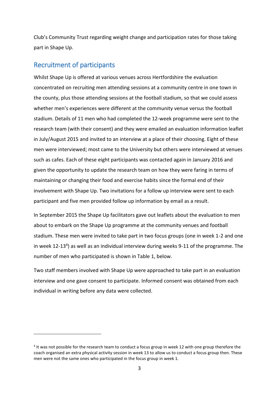Club's Community Trust regarding weight change and participation rates for those taking part in Shape Up.

# <span id="page-6-0"></span>Recruitment of participants

-

Whilst Shape Up is offered at various venues across Hertfordshire the evaluation concentrated on recruiting men attending sessions at a community centre in one town in the county, plus those attending sessions at the football stadium, so that we could assess whether men's experiences were different at the community venue versus the football stadium. Details of 11 men who had completed the 12-week programme were sent to the research team (with their consent) and they were emailed an evaluation information leaflet in July/August 2015 and invited to an interview at a place of their choosing. Eight of these men were interviewed; most came to the University but others were interviewed at venues such as cafes. Each of these eight participants was contacted again in January 2016 and given the opportunity to update the research team on how they were faring in terms of maintaining or changing their food and exercise habits since the formal end of their involvement with Shape Up. Two invitations for a follow up interview were sent to each participant and five men provided follow up information by email as a result.

In September 2015 the Shape Up facilitators gave out leaflets about the evaluation to men about to embark on the Shape Up programme at the community venues and football stadium. These men were invited to take part in two focus groups (one in week 1-2 and one in week 12-13<sup>4</sup>) as well as an individual interview during weeks 9-11 of the programme. The number of men who participated is shown in Table 1, below.

Two staff members involved with Shape Up were approached to take part in an evaluation interview and one gave consent to participate. Informed consent was obtained from each individual in writing before any data were collected.

<sup>&</sup>lt;sup>4</sup> It was not possible for the research team to conduct a focus group in week 12 with one group therefore the coach organised an extra physical activity session in week 13 to allow us to conduct a focus group then. These men were not the same ones who participated in the focus group in week 1.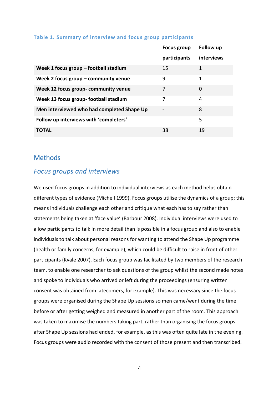|                                            | <b>Focus group</b>           | Follow up  |
|--------------------------------------------|------------------------------|------------|
|                                            | participants                 | interviews |
| Week 1 focus group $-$ football stadium    | 15                           | 1          |
| Week 2 focus group $-$ community venue     | 9                            | 1          |
| Week 12 focus group-community venue        | 7                            | 0          |
| Week 13 focus group-football stadium       | 7                            | 4          |
| Men interviewed who had completed Shape Up | $\qquad \qquad \blacksquare$ | 8          |
| Follow up interviews with 'completers'     |                              | 5          |
| TOTAL                                      | 38                           | 19         |

#### <span id="page-7-0"></span>**Table 1. Summary of interview and focus group participants**

## <span id="page-7-1"></span>Methods

## <span id="page-7-2"></span>*Focus groups and interviews*

We used focus groups in addition to individual interviews as each method helps obtain different types of evidence [\(Michell 1999\)](#page-24-6). Focus groups utilise the dynamics of a group; this means individuals challenge each other and critique what each has to say rather than statements being taken at 'face value' [\(Barbour 2008\)](#page-24-7). Individual interviews were used to allow participants to talk in more detail than is possible in a focus group and also to enable individuals to talk about personal reasons for wanting to attend the Shape Up programme (health or family concerns, for example), which could be difficult to raise in front of other participants [\(Kvale 2007\)](#page-24-8). Each focus group was facilitated by two members of the research team, to enable one researcher to ask questions of the group whilst the second made notes and spoke to individuals who arrived or left during the proceedings (ensuring written consent was obtained from latecomers, for example). This was necessary since the focus groups were organised during the Shape Up sessions so men came/went during the time before or after getting weighed and measured in another part of the room. This approach was taken to maximise the numbers taking part, rather than organising the focus groups after Shape Up sessions had ended, for example, as this was often quite late in the evening. Focus groups were audio recorded with the consent of those present and then transcribed.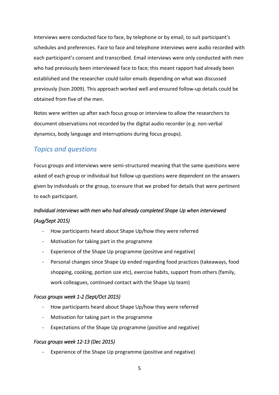Interviews were conducted face to face, by telephone or by email, to suit participant's schedules and preferences. Face to face and telephone interviews were audio recorded with each participant's consent and transcribed. Email interviews were only conducted with men who had previously been interviewed face to face; this meant rapport had already been established and the researcher could tailor emails depending on what was discussed previously [\(Ison 2009\)](#page-24-9). This approach worked well and ensured follow-up details could be obtained from five of the men.

Notes were written up after each focus group or interview to allow the researchers to document observations not recorded by the digital audio recorder (e.g. non-verbal dynamics, body language and interruptions during focus groups).

# <span id="page-8-0"></span>*Topics and questions*

Focus groups and interviews were semi-structured meaning that the same questions were asked of each group or individual but follow up questions were dependent on the answers given by individuals or the group, to ensure that we probed for details that were pertinent to each participant.

# *Individual interviews with men who had already completed Shape Up when interviewed (Aug/Sept 2015)*

- How participants heard about Shape Up/how they were referred
- Motivation for taking part in the programme
- Experience of the Shape Up programme (positive and negative)
- Personal changes since Shape Up ended regarding food practices (takeaways, food shopping, cooking, portion size etc), exercise habits, support from others (family, work colleagues, continued contact with the Shape Up team)

## *Focus groups week 1-2 (Sept/Oct 2015)*

- How participants heard about Shape Up/how they were referred
- Motivation for taking part in the programme
- Expectations of the Shape Up programme (positive and negative)

#### *Focus groups week 12-13 (Dec 2015)*

Experience of the Shape Up programme (positive and negative)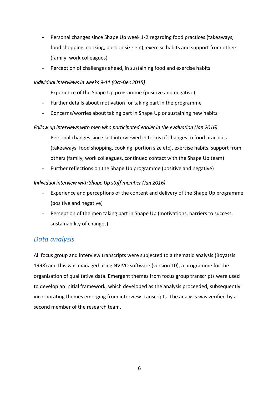- Personal changes since Shape Up week 1-2 regarding food practices (takeaways, food shopping, cooking, portion size etc), exercise habits and support from others (family, work colleagues)
- Perception of challenges ahead, in sustaining food and exercise habits

#### *Individual interviews in weeks 9-11 (Oct-Dec 2015)*

- Experience of the Shape Up programme (positive and negative)
- Further details about motivation for taking part in the programme
- Concerns/worries about taking part in Shape Up or sustaining new habits

#### *Follow up interviews with men who participated earlier in the evaluation (Jan 2016)*

- Personal changes since last interviewed in terms of changes to food practices (takeaways, food shopping, cooking, portion size etc), exercise habits, support from others (family, work colleagues, continued contact with the Shape Up team)
- Further reflections on the Shape Up programme (positive and negative)

#### *Individual interview with Shape Up staff member (Jan 2016)*

- Experience and perceptions of the content and delivery of the Shape Up programme (positive and negative)
- Perception of the men taking part in Shape Up (motivations, barriers to success, sustainability of changes)

# <span id="page-9-0"></span>*Data analysis*

All focus group and interview transcripts were subjected to a thematic analysis [\(Boyatzis](#page-24-10)  [1998\)](#page-24-10) and this was managed using NVIVO software (version 10), a programme for the organisation of qualitative data. Emergent themes from focus group transcripts were used to develop an initial framework, which developed as the analysis proceeded, subsequently incorporating themes emerging from interview transcripts. The analysis was verified by a second member of the research team.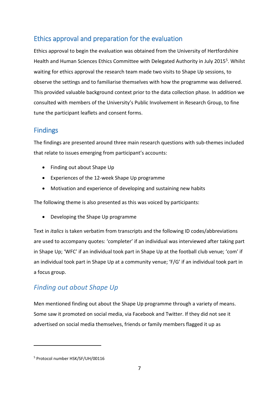# <span id="page-10-0"></span>Ethics approval and preparation for the evaluation

Ethics approval to begin the evaluation was obtained from the University of Hertfordshire Health and Human Sciences Ethics Committee with Delegated Authority in July 2015<sup>5</sup>. Whilst waiting for ethics approval the research team made two visits to Shape Up sessions, to observe the settings and to familiarise themselves with how the programme was delivered. This provided valuable background context prior to the data collection phase. In addition we consulted with members of the University's Public Involvement in Research Group, to fine tune the participant leaflets and consent forms.

# <span id="page-10-1"></span>Findings

The findings are presented around three main research questions with sub-themes included that relate to issues emerging from participant's accounts:

- Finding out about Shape Up
- Experiences of the 12-week Shape Up programme
- Motivation and experience of developing and sustaining new habits

The following theme is also presented as this was voiced by participants:

Developing the Shape Up programme

Text in *italics* is taken verbatim from transcripts and the following ID codes/abbreviations are used to accompany quotes: 'completer' if an individual was interviewed after taking part in Shape Up; 'WFC' if an individual took part in Shape Up at the football club venue; 'com' if an individual took part in Shape Up at a community venue; 'F/G' if an individual took part in a focus group.

# <span id="page-10-2"></span>*Finding out about Shape Up*

Men mentioned finding out about the Shape Up programme through a variety of means. Some saw it promoted on social media, via Facebook and Twitter. If they did not see it advertised on social media themselves, friends or family members flagged it up as

-

<sup>5</sup> Protocol number HSK/SF/UH/00116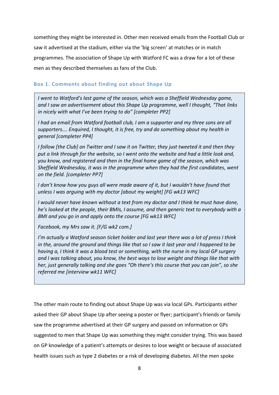something they might be interested in. Other men received emails from the Football Club or saw it advertised at the stadium, either via the 'big screen' at matches or in match programmes. The association of Shape Up with Watford FC was a draw for a lot of these men as they described themselves as fans of the Club.

#### <span id="page-11-0"></span>**Box 1. Comments about finding out about Shape Up**

*I went to Watford's last game of the season, which was a Sheffield Wednesday game,*  and I saw an advertisement about this Shape Up programme, well I thought, "That links *in nicely with what I've been trying to do" [completer PP2]*

*I had an email from Watford football club, I am a supporter and my three sons are all supporters…. Enquired, I thought, it is free, try and do something about my health in general [completer PP4]*

*I follow [the Club] on Twitter and I saw it on Twitter, they just tweeted it and then they put a link through for the website, so I went onto the website and had a little look and, you know, and registered and then in the final home game of the season, which was Sheffield Wednesday, it was in the programme when they had the first candidates, went on the field. [completer PP7]*

*I don't know how you guys all were made aware of it, but I wouldn't have found that unless I was arguing with my doctor [about my weight] [FG wk13 WFC]*

*I would never have known without a text from my doctor and I think he must have done, he's looked at the people, their BMIs, I assume, and then generic text to everybody with a BMI and you go in and apply onto the course [FG wk13 WFC]*

*Facebook, my Mrs saw it. [F/G wk2 com.]*

*I'm actually a Watford season ticket holder and last year there was a lot of press I think in the, around the ground and things like that so I saw it last year and I happened to be having a, I think it was a blood test or something, with the nurse in my local GP surgery and I was talking about, you know, the best ways to lose weight and things like that with her, just generally talking and she goes "Oh there's this course that you can join", so she referred me [interview wk11 WFC]*

The other main route to finding out about Shape Up was via local GPs. Participants either asked their GP about Shape Up after seeing a poster or flyer; participant's friends or family saw the programme advertised at their GP surgery and passed on information or GPs suggested to men that Shape Up was something they might consider trying. This was based on GP knowledge of a patient's attempts or desires to lose weight or because of associated health issues such as type 2 diabetes or a risk of developing diabetes. All the men spoke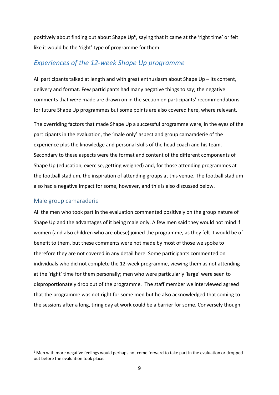positively about finding out about Shape Up<sup>6</sup>, saying that it came at the 'right time' or felt like it would be the 'right' type of programme for them.

# <span id="page-12-0"></span>*Experiences of the 12-week Shape Up programme*

All participants talked at length and with great enthusiasm about Shape Up – its content, delivery and format. Few participants had many negative things to say; the negative comments that *were* made are drawn on in the section on participants' recommendations for future Shape Up programmes but some points are also covered here, where relevant.

The overriding factors that made Shape Up a successful programme were, in the eyes of the participants in the evaluation, the 'male only' aspect and group camaraderie of the experience plus the knowledge and personal skills of the head coach and his team. Secondary to these aspects were the format and content of the different components of Shape Up (education, exercise, getting weighed) and, for those attending programmes at the football stadium, the inspiration of attending groups at this venue. The football stadium also had a negative impact for some, however, and this is also discussed below.

#### <span id="page-12-1"></span>Male group camaraderie

-

All the men who took part in the evaluation commented positively on the group nature of Shape Up and the advantages of it being male only. A few men said they would not mind if women (and also children who are obese) joined the programme, as they felt it would be of benefit to them, but these comments were not made by most of those we spoke to therefore they are not covered in any detail here. Some participants commented on individuals who did not complete the 12-week programme, viewing them as not attending at the 'right' time for them personally; men who were particularly 'large' were seen to disproportionately drop out of the programme. The staff member we interviewed agreed that the programme was not right for some men but he also acknowledged that coming to the sessions after a long, tiring day at work could be a barrier for some. Conversely though

 $6$  Men with more negative feelings would perhaps not come forward to take part in the evaluation or dropped out before the evaluation took place.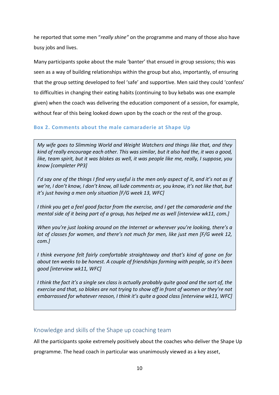he reported that some men "*really shine"* on the programme and many of those also have busy jobs and lives.

Many participants spoke about the male 'banter' that ensued in group sessions; this was seen as a way of building relationships within the group but also, importantly, of ensuring that the group setting developed to feel 'safe' and supportive. Men said they could 'confess' to difficulties in changing their eating habits (continuing to buy kebabs was one example given) when the coach was delivering the education component of a session, for example, without fear of this being looked down upon by the coach or the rest of the group.

#### <span id="page-13-0"></span>**Box 2. Comments about the male camaraderie at Shape Up**

*My wife goes to Slimming World and Weight Watchers and things like that, and they kind of really encourage each other. This was similar, but it also had the, it was a good, like, team spirit, but it was blokes as well, it was people like me, really, I suppose, you know [completer PP3]*

*I'd say one of the things I find very useful is the men only aspect of it, and it's not as if we're, I don't know, I don't know, all lude comments or, you know, it's not like that, but it's just having a men only situation [F/G week 13, WFC]*

*I think you get a feel good factor from the exercise, and I get the camaraderie and the mental side of it being part of a group, has helped me as well [interview wk11, com.]*

*When you're just looking around on the Internet or wherever you're looking, there's a lot of classes for women, and there's not much for men, like just men [F/G week 12, com.]*

*I think everyone felt fairly comfortable straightaway and that's kind of gone on for about ten weeks to be honest. A couple of friendships forming with people, so it's been good [interview wk11, WFC]*

*I think the fact it's a single sex class is actually probably quite good and the sort of, the exercise and that, so blokes are not trying to show off in front of women or they're not embarrassed for whatever reason, I think it's quite a good class [interview wk11, WFC]*

#### <span id="page-13-1"></span>Knowledge and skills of the Shape up coaching team

All the participants spoke extremely positively about the coaches who deliver the Shape Up programme. The head coach in particular was unanimously viewed as a key asset,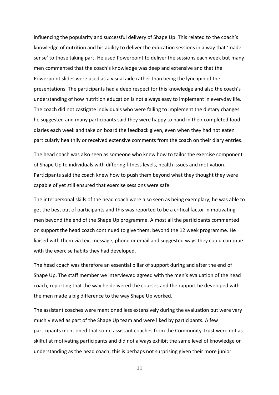influencing the popularity and successful delivery of Shape Up. This related to the coach's knowledge of nutrition and his ability to deliver the education sessions in a way that 'made sense' to those taking part. He used Powerpoint to deliver the sessions each week but many men commented that the coach's knowledge was deep and extensive and that the Powerpoint slides were used as a visual aide rather than being the lynchpin of the presentations. The participants had a deep respect for this knowledge and also the coach's understanding of how nutrition education is not always easy to implement in everyday life. The coach did not castigate individuals who were failing to implement the dietary changes he suggested and many participants said they were happy to hand in their completed food diaries each week and take on board the feedback given, even when they had not eaten particularly healthily or received extensive comments from the coach on their diary entries.

The head coach was also seen as someone who knew how to tailor the exercise component of Shape Up to individuals with differing fitness levels, health issues and motivation. Participants said the coach knew how to push them beyond what they thought they were capable of yet still ensured that exercise sessions were safe.

The interpersonal skills of the head coach were also seen as being exemplary; he was able to get the best out of participants and this was reported to be a critical factor in motivating men beyond the end of the Shape Up programme. Almost all the participants commented on support the head coach continued to give them, beyond the 12 week programme. He liaised with them via text message, phone or email and suggested ways they could continue with the exercise habits they had developed.

The head coach was therefore an essential pillar of support during and after the end of Shape Up. The staff member we interviewed agreed with the men's evaluation of the head coach, reporting that the way he delivered the courses and the rapport he developed with the men made a big difference to the way Shape Up worked.

The assistant coaches were mentioned less extensively during the evaluation but were very much viewed as part of the Shape Up team and were liked by participants. A few participants mentioned that some assistant coaches from the Community Trust were not as skilful at motivating participants and did not always exhibit the same level of knowledge or understanding as the head coach; this is perhaps not surprising given their more junior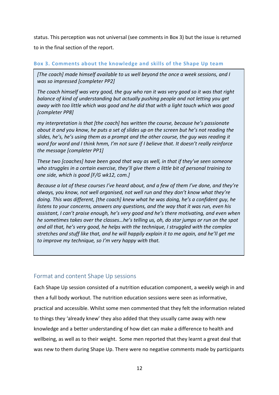status. This perception was not universal (see comments in Box 3) but the issue is returned to in the final section of the report.

#### <span id="page-15-0"></span>**Box 3. Comments about the knowledge and skills of the Shape Up team**

*[The coach] made himself available to us well beyond the once a week sessions, and I was so impressed [completer PP2]*

*The coach himself was very good, the guy who ran it was very good so it was that right balance of kind of understanding but actually pushing people and not letting you get away with too little which was good and he did that with a light touch which was good [completer PP8]*

*my interpretation is that [the coach] has written the course, because he's passionate about it and you know, he puts a set of slides up on the screen but he's not reading the slides, he's, he's using them as a prompt and the other course, the guy was reading it word for word and I think hmm, I'm not sure if I believe that. It doesn't really reinforce the message [completer PP1]*

*These two [coaches] have been good that way as well, in that if they've seen someone who struggles in a certain exercise, they'll give them a little bit of personal training to one side, which is good [F/G wk12, com.]*

*Because a lot of these courses I've heard about, and a few of them I've done, and they're always, you know, not well organised, not well run and they don't know what they're doing. This was different, [the coach] knew what he was doing, he's a confident guy, he listens to your concerns, answers any questions, and the way that it was run, even his assistant, I can't praise enough, he's very good and he's there motivating, and even when he sometimes takes over the classes…he's telling us, oh, do star jumps or run on the spot and all that, he's very good, he helps with the technique, I struggled with the complex stretches and stuff like that, and he will happily explain it to me again, and he'll get me to improve my technique, so I'm very happy with that.*

## <span id="page-15-1"></span>Format and content Shape Up sessions

Each Shape Up session consisted of a nutrition education component, a weekly weigh in and then a full body workout. The nutrition education sessions were seen as informative, practical and accessible. Whilst some men commented that they felt the information related to things they 'already knew' they also added that they usually came away with new knowledge and a better understanding of how diet can make a difference to health and wellbeing, as well as to their weight. Some men reported that they learnt a great deal that was new to them during Shape Up. There were no negative comments made by participants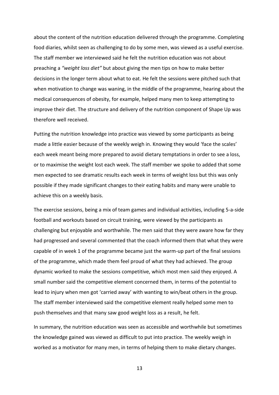about the content of the nutrition education delivered through the programme. Completing food diaries, whilst seen as challenging to do by some men, was viewed as a useful exercise. The staff member we interviewed said he felt the nutrition education was not about preaching a *"weight loss diet"* but about giving the men tips on how to make better decisions in the longer term about what to eat. He felt the sessions were pitched such that when motivation to change was waning, in the middle of the programme, hearing about the medical consequences of obesity, for example, helped many men to keep attempting to improve their diet. The structure and delivery of the nutrition component of Shape Up was therefore well received.

Putting the nutrition knowledge into practice was viewed by some participants as being made a little easier because of the weekly weigh in. Knowing they would 'face the scales' each week meant being more prepared to avoid dietary temptations in order to see a loss, or to maximise the weight lost each week. The staff member we spoke to added that some men expected to see dramatic results each week in terms of weight loss but this was only possible if they made significant changes to their eating habits and many were unable to achieve this on a weekly basis.

The exercise sessions, being a mix of team games and individual activities, including 5-a-side football and workouts based on circuit training, were viewed by the participants as challenging but enjoyable and worthwhile. The men said that they were aware how far they had progressed and several commented that the coach informed them that what they were capable of in week 1 of the programme became just the warm-up part of the final sessions of the programme, which made them feel proud of what they had achieved. The group dynamic worked to make the sessions competitive, which most men said they enjoyed. A small number said the competitive element concerned them, in terms of the potential to lead to injury when men got 'carried away' with wanting to win/beat others in the group. The staff member interviewed said the competitive element really helped some men to push themselves and that many saw good weight loss as a result, he felt.

In summary, the nutrition education was seen as accessible and worthwhile but sometimes the knowledge gained was viewed as difficult to put into practice. The weekly weigh in worked as a motivator for many men, in terms of helping them to make dietary changes.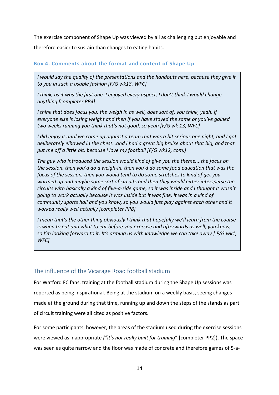The exercise component of Shape Up was viewed by all as challenging but enjoyable and therefore easier to sustain than changes to eating habits.

#### <span id="page-17-0"></span>**Box 4. Comments about the format and content of Shape Up**

*I would say the quality of the presentations and the handouts here, because they give it to you in such a usable fashion [F/G wk13, WFC]*

*I think, as it was the first one, I enjoyed every aspect, I don't think I would change anything [completer PP4]*

*I think that does focus you, the weigh in as well, does sort of, you think, yeah, if everyone else is losing weight and then if you have stayed the same or you've gained two weeks running you think that's not good, so yeah [F/G wk 13, WFC]*

*I did enjoy it until we come up against a team that was a bit serious one night, and I got deliberately elbowed in the chest…and I had a great big bruise about that big, and that put me off a little bit, because I love my football [F/G wk12, com.]*

*The guy who introduced the session would kind of give you the theme....the focus on the session, then you'd do a weigh-in, then you'd do some food education that was the focus of the session, then you would tend to do some stretches to kind of get you warmed up and maybe some sort of circuits and then they would either intersperse the circuits with basically a kind of five-a-side game, so it was inside and I thought it wasn't going to work actually because it was inside but it was fine, it was in a kind of community sports hall and you know, so you would just play against each other and it worked really well actually [completer PP8]*

*I mean that's the other thing obviously I think that hopefully we'll learn from the course is when to eat and what to eat before you exercise and afterwards as well, you know, so I'm looking forward to it. It's arming us with knowledge we can take away [ F/G wk1, WFC]*

## <span id="page-17-1"></span>The influence of the Vicarage Road football stadium

For Watford FC fans, training at the football stadium during the Shape Up sessions was reported as being inspirational. Being at the stadium on a weekly basis, seeing changes made at the ground during that time, running up and down the steps of the stands as part of circuit training were all cited as positive factors.

For some participants, however, the areas of the stadium used during the exercise sessions were viewed as inappropriate *("it's not really built for training*" [completer PP2]). The space was seen as quite narrow and the floor was made of concrete and therefore games of 5-a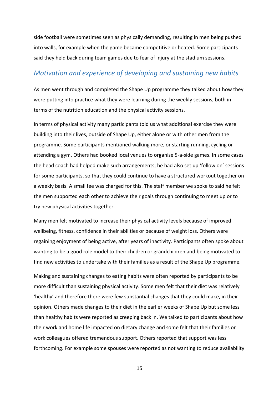side football were sometimes seen as physically demanding, resulting in men being pushed into walls, for example when the game became competitive or heated. Some participants said they held back during team games due to fear of injury at the stadium sessions.

# <span id="page-18-0"></span>*Motivation and experience of developing and sustaining new habits*

As men went through and completed the Shape Up programme they talked about how they were putting into practice what they were learning during the weekly sessions, both in terms of the nutrition education and the physical activity sessions.

In terms of physical activity many participants told us what additional exercise they were building into their lives, outside of Shape Up, either alone or with other men from the programme. Some participants mentioned walking more, or starting running, cycling or attending a gym. Others had booked local venues to organise 5-a-side games. In some cases the head coach had helped make such arrangements; he had also set up 'follow on' sessions for some participants, so that they could continue to have a structured workout together on a weekly basis. A small fee was charged for this. The staff member we spoke to said he felt the men supported each other to achieve their goals through continuing to meet up or to try new physical activities together.

Many men felt motivated to increase their physical activity levels because of improved wellbeing, fitness, confidence in their abilities or because of weight loss. Others were regaining enjoyment of being active, after years of inactivity. Participants often spoke about wanting to be a good role model to their children or grandchildren and being motivated to find new activities to undertake with their families as a result of the Shape Up programme.

Making and sustaining changes to eating habits were often reported by participants to be more difficult than sustaining physical activity. Some men felt that their diet was relatively 'healthy' and therefore there were few substantial changes that they could make, in their opinion. Others made changes to their diet in the earlier weeks of Shape Up but some less than healthy habits were reported as creeping back in. We talked to participants about how their work and home life impacted on dietary change and some felt that their families or work colleagues offered tremendous support. Others reported that support was less forthcoming. For example some spouses were reported as not wanting to reduce availability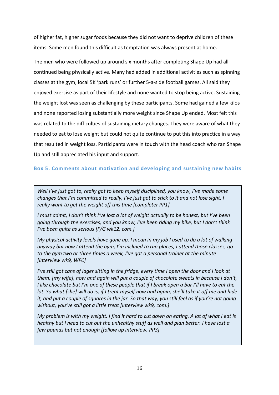of higher fat, higher sugar foods because they did not want to deprive children of these items. Some men found this difficult as temptation was always present at home.

The men who were followed up around six months after completing Shape Up had all continued being physically active. Many had added in additional activities such as spinning classes at the gym, local 5K 'park runs' or further 5-a-side football games. All said they enjoyed exercise as part of their lifestyle and none wanted to stop being active. Sustaining the weight lost was seen as challenging by these participants. Some had gained a few kilos and none reported losing substantially more weight since Shape Up ended. Most felt this was related to the difficulties of sustaining dietary changes. They were aware of what they needed to eat to lose weight but could not quite continue to put this into practice in a way that resulted in weight loss. Participants were in touch with the head coach who ran Shape Up and still appreciated his input and support.

#### <span id="page-19-0"></span>**Box 5. Comments about motivation and developing and sustaining new habits**

*Well I've just got to, really got to keep myself disciplined, you know, I've made some changes that I'm committed to really, I've just got to stick to it and not lose sight. I really want to get the weight off this time [completer PP1]*

*I must admit, I don't think I've lost a lot of weight actually to be honest, but I've been going through the exercises, and you know, I've been riding my bike, but I don't think I've been quite as serious [F/G wk12, com.]*

*My physical activity levels have gone up, I mean in my job I used to do a lot of walking anyway but now I attend the gym, I'm inclined to run places, I attend those classes, go to the gym two or three times a week, I've got a personal trainer at the minute [interview wk9, WFC]*

*I've still got cans of lager sitting in the fridge, every time I open the door and I look at them, [my wife], now and again will put a couple of chocolate sweets in because I don't, I like chocolate but I'm one of these people that if I break open a bar I'll have to eat the lot. So what [she] will do is, if I treat myself now and again, she'll take it off me and hide it, and put a couple of squares in the jar. So that way, you still feel as if you're not going without, you've still got a little treat [interview wk9, com.]*

*My problem is with my weight. I find it hard to cut down on eating. A lot of what I eat is healthy but I need to cut out the unhealthy stuff as well and plan better. I have lost a few pounds but not enough [follow up interview, PP3]*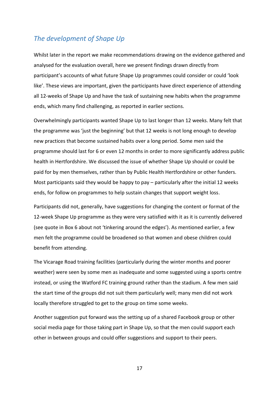# <span id="page-20-0"></span>*The development of Shape Up*

Whilst later in the report we make recommendations drawing on the evidence gathered and analysed for the evaluation overall, here we present findings drawn directly from participant's accounts of what future Shape Up programmes could consider or could 'look like'. These views are important, given the participants have direct experience of attending all 12-weeks of Shape Up and have the task of sustaining new habits when the programme ends, which many find challenging, as reported in earlier sections.

Overwhelmingly participants wanted Shape Up to last longer than 12 weeks. Many felt that the programme was 'just the beginning' but that 12 weeks is not long enough to develop new practices that become sustained habits over a long period. Some men said the programme should last for 6 or even 12 months in order to more significantly address public health in Hertfordshire. We discussed the issue of whether Shape Up should or could be paid for by men themselves, rather than by Public Health Hertfordshire or other funders. Most participants said they would be happy to pay – particularly after the initial 12 weeks ends, for follow on programmes to help sustain changes that support weight loss.

Participants did not, generally, have suggestions for changing the content or format of the 12-week Shape Up programme as they were very satisfied with it as it is currently delivered (see quote in Box 6 about not 'tinkering around the edges'). As mentioned earlier, a few men felt the programme could be broadened so that women and obese children could benefit from attending.

The Vicarage Road training facilities (particularly during the winter months and poorer weather) were seen by some men as inadequate and some suggested using a sports centre instead, or using the Watford FC training ground rather than the stadium. A few men said the start time of the groups did not suit them particularly well; many men did not work locally therefore struggled to get to the group on time some weeks.

Another suggestion put forward was the setting up of a shared Facebook group or other social media page for those taking part in Shape Up, so that the men could support each other in between groups and could offer suggestions and support to their peers.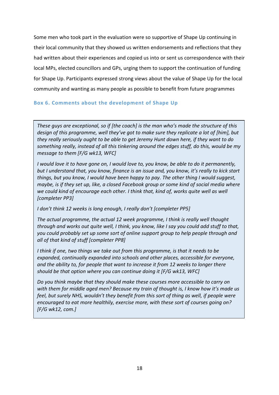Some men who took part in the evaluation were so supportive of Shape Up continuing in their local community that they showed us written endorsements and reflections that they had written about their experiences and copied us into or sent us correspondence with their local MPs, elected councillors and GPs, urging them to support the continuation of funding for Shape Up. Participants expressed strong views about the value of Shape Up for the local community and wanting as many people as possible to benefit from future programmes

#### <span id="page-21-0"></span>**Box 6. Comments about the development of Shape Up**

*These guys are exceptional, so if [the coach] is the man who's made the structure of this*  design of this programme, well they've got to make sure they replicate a lot of [him], but *they really seriously ought to be able to get Jeremy Hunt down here, if they want to do something really, instead of all this tinkering around the edges stuff, do this, would be my message to them [F/G wk13, WFC]*

*I would love it to have gone on, I would love to, you know, be able to do it permanently, but I understand that, you know, finance is an issue and, you know, it's really to kick start things, but you know, I would have been happy to pay. The other thing I would suggest, maybe, is if they set up, like, a closed Facebook group or some kind of social media where we could kind of encourage each other. I think that, kind of, works quite well as well [completer PP3]*

#### *I don't think 12 weeks is long enough, I really don't [completer PP5]*

*The actual programme, the actual 12 week programme, I think is really well thought through and works out quite well, I think, you know, like I say you could add stuff to that, you could probably set up some sort of online support group to help people through and all of that kind of stuff [completer PP8]*

*I think if one, two things we take out from this programme, is that it needs to be expanded, continually expanded into schools and other places, accessible for everyone, and the ability to, for people that want to increase it from 12 weeks to longer there should be that option where you can continue doing it [F/G wk13, WFC]*

*Do you think maybe that they should make these courses more accessible to carry on with them for middle aged men? Because my train of thought is, I know how it's made us feel, but surely NHS, wouldn't they benefit from this sort of thing as well, if people were encouraged to eat more healthily, exercise more, with these sort of courses going on? [F/G wk12, com.]*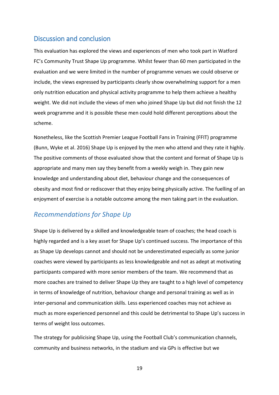# <span id="page-22-0"></span>Discussion and conclusion

This evaluation has explored the views and experiences of men who took part in Watford FC's Community Trust Shape Up programme. Whilst fewer than 60 men participated in the evaluation and we were limited in the number of programme venues we could observe or include, the views expressed by participants clearly show overwhelming support for a men only nutrition education and physical activity programme to help them achieve a healthy weight. We did not include the views of men who joined Shape Up but did not finish the 12 week programme and it is possible these men could hold different perceptions about the scheme.

Nonetheless, like the Scottish Premier League Football Fans in Training (FFIT) programme [\(Bunn, Wyke et al. 2016\)](#page-24-11) Shape Up is enjoyed by the men who attend and they rate it highly. The positive comments of those evaluated show that the content and format of Shape Up is appropriate and many men say they benefit from a weekly weigh in. They gain new knowledge and understanding about diet, behaviour change and the consequences of obesity and most find or rediscover that they enjoy being physically active. The fuelling of an enjoyment of exercise is a notable outcome among the men taking part in the evaluation.

# <span id="page-22-1"></span>*Recommendations for Shape Up*

Shape Up is delivered by a skilled and knowledgeable team of coaches; the head coach is highly regarded and is a key asset for Shape Up's continued success. The importance of this as Shape Up develops cannot and should not be underestimated especially as some junior coaches were viewed by participants as less knowledgeable and not as adept at motivating participants compared with more senior members of the team. We recommend that as more coaches are trained to deliver Shape Up they are taught to a high level of competency in terms of knowledge of nutrition, behaviour change and personal training as well as in inter-personal and communication skills. Less experienced coaches may not achieve as much as more experienced personnel and this could be detrimental to Shape Up's success in terms of weight loss outcomes.

The strategy for publicising Shape Up, using the Football Club's communication channels, community and business networks, in the stadium and via GPs is effective but we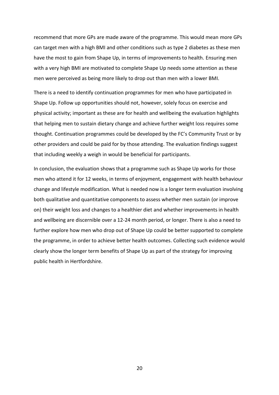recommend that more GPs are made aware of the programme. This would mean more GPs can target men with a high BMI and other conditions such as type 2 diabetes as these men have the most to gain from Shape Up, in terms of improvements to health. Ensuring men with a very high BMI are motivated to complete Shape Up needs some attention as these men were perceived as being more likely to drop out than men with a lower BMI.

There is a need to identify continuation programmes for men who have participated in Shape Up. Follow up opportunities should not, however, solely focus on exercise and physical activity; important as these are for health and wellbeing the evaluation highlights that helping men to sustain dietary change and achieve further weight loss requires some thought. Continuation programmes could be developed by the FC's Community Trust or by other providers and could be paid for by those attending. The evaluation findings suggest that including weekly a weigh in would be beneficial for participants.

<span id="page-23-0"></span>In conclusion, the evaluation shows that a programme such as Shape Up works for those men who attend it for 12 weeks, in terms of enjoyment, engagement with health behaviour change and lifestyle modification. What is needed now is a longer term evaluation involving both qualitative and quantitative components to assess whether men sustain (or improve on) their weight loss and changes to a healthier diet and whether improvements in health and wellbeing are discernible over a 12-24 month period, or longer. There is also a need to further explore how men who drop out of Shape Up could be better supported to complete the programme, in order to achieve better health outcomes. Collecting such evidence would clearly show the longer term benefits of Shape Up as part of the strategy for improving public health in Hertfordshire.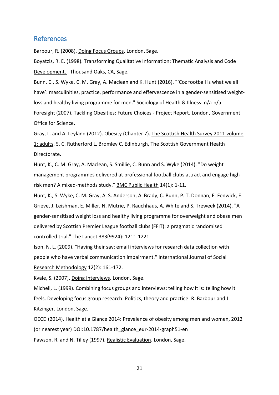#### References

<span id="page-24-7"></span>Barbour, R. (2008). Doing Focus Groups. London, Sage.

<span id="page-24-10"></span>Boyatzis, R. E. (1998). Transforming Qualitative Information: Thematic Analysis and Code Development. . Thousand Oaks, CA, Sage.

<span id="page-24-11"></span>Bunn, C., S. Wyke, C. M. Gray, A. Maclean and K. Hunt (2016). "'Coz football is what we all have': masculinities, practice, performance and effervescence in a gender-sensitised weightloss and healthy living programme for men." Sociology of Health & Illness: n/a-n/a. Foresight (2007). Tackling Obesities: Future Choices - Project Report. London, Government Office for Science.

<span id="page-24-2"></span><span id="page-24-1"></span>Gray, L. and A. Leyland (2012). Obesity (Chapter 7). The Scottish Health Survey 2011 volume 1: adults. S. C. Rutherford L, Bromley C. Edinburgh, The Scottish Government Health Directorate.

<span id="page-24-3"></span>Hunt, K., C. M. Gray, A. Maclean, S. Smillie, C. Bunn and S. Wyke (2014). "Do weight management programmes delivered at professional football clubs attract and engage high risk men? A mixed-methods study." BMC Public Health 14(1): 1-11.

<span id="page-24-4"></span>Hunt, K., S. Wyke, C. M. Gray, A. S. Anderson, A. Brady, C. Bunn, P. T. Donnan, E. Fenwick, E. Grieve, J. Leishman, E. Miller, N. Mutrie, P. Rauchhaus, A. White and S. Treweek (2014). "A gender-sensitised weight loss and healthy living programme for overweight and obese men delivered by Scottish Premier League football clubs (FFIT): a pragmatic randomised controlled trial." The Lancet 383(9924): 1211-1221.

<span id="page-24-9"></span>Ison, N. L. (2009). "Having their say: email interviews for research data collection with people who have verbal communication impairment." International Journal of Social Research Methodology 12(2): 161-172.

<span id="page-24-8"></span>Kvale, S. (2007). Doing Interviews. London, Sage.

<span id="page-24-6"></span>Michell, L. (1999). Combining focus groups and interviews: telling how it is: telling how it feels. Developing focus group research: Politics, theory and practice. R. Barbour and J. Kitzinger. London, Sage.

<span id="page-24-5"></span><span id="page-24-0"></span>OECD (2014). Health at a Glance 2014: Prevalence of obesity among men and women, 2012 (or nearest year) DOI:10.1787/health\_glance\_eur-2014-graph51-en Pawson, R. and N. Tilley (1997). Realistic Evaluation. London, Sage.